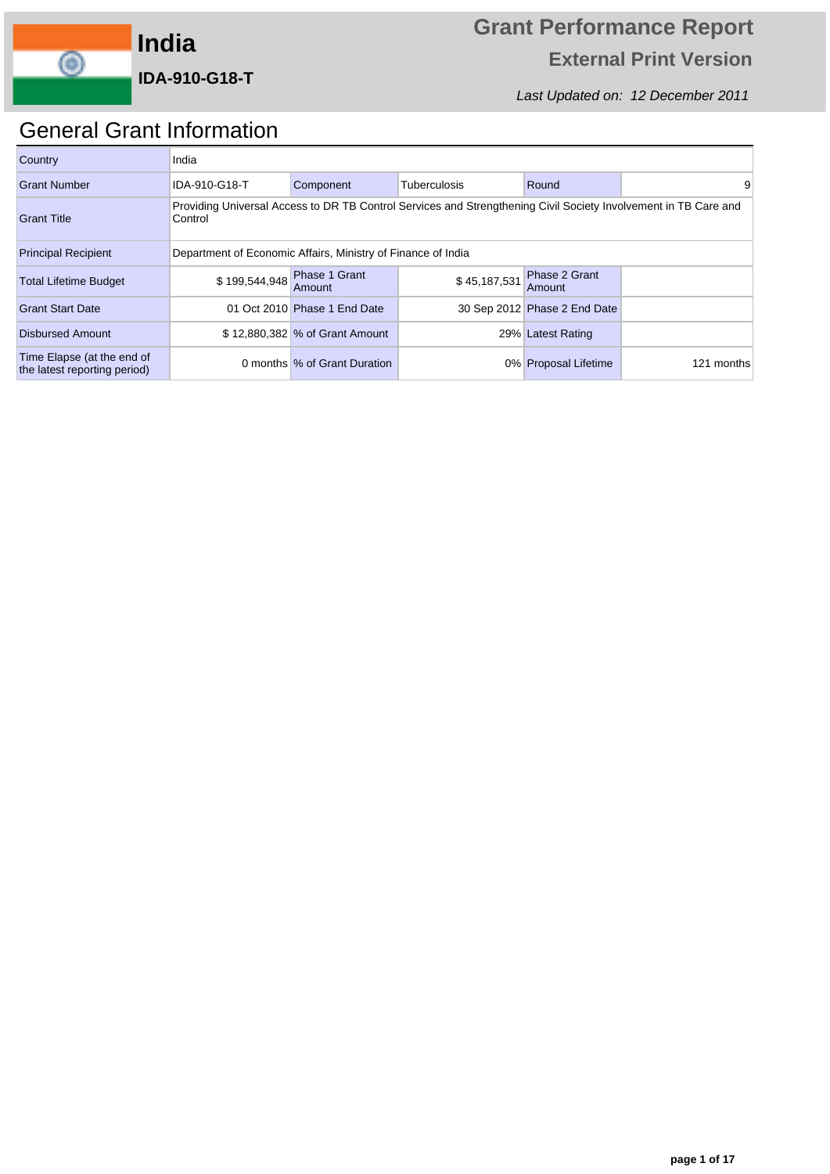

Last Updated on: 12 December 2011

## General Grant Information

| Country                                                    | India         |                                                                                                                 |              |                                |            |  |  |  |  |  |
|------------------------------------------------------------|---------------|-----------------------------------------------------------------------------------------------------------------|--------------|--------------------------------|------------|--|--|--|--|--|
| Grant Number                                               | IDA-910-G18-T | Component                                                                                                       | Tuberculosis | Round                          | 9          |  |  |  |  |  |
| <b>Grant Title</b>                                         | Control       | Providing Universal Access to DR TB Control Services and Strengthening Civil Society Involvement in TB Care and |              |                                |            |  |  |  |  |  |
| <b>Principal Recipient</b>                                 |               | Department of Economic Affairs, Ministry of Finance of India                                                    |              |                                |            |  |  |  |  |  |
| <b>Total Lifetime Budget</b>                               |               | \$199,544,948 Phase 1 Grant<br>Amount                                                                           | \$45,187,531 | <b>Phase 2 Grant</b><br>Amount |            |  |  |  |  |  |
| <b>Grant Start Date</b>                                    |               | 01 Oct 2010 Phase 1 End Date                                                                                    |              | 30 Sep 2012 Phase 2 End Date   |            |  |  |  |  |  |
| <b>Disbursed Amount</b>                                    |               | \$12,880,382 % of Grant Amount<br>29% Latest Rating                                                             |              |                                |            |  |  |  |  |  |
| Time Elapse (at the end of<br>the latest reporting period) |               | 0 months % of Grant Duration                                                                                    |              | 0% Proposal Lifetime           | 121 months |  |  |  |  |  |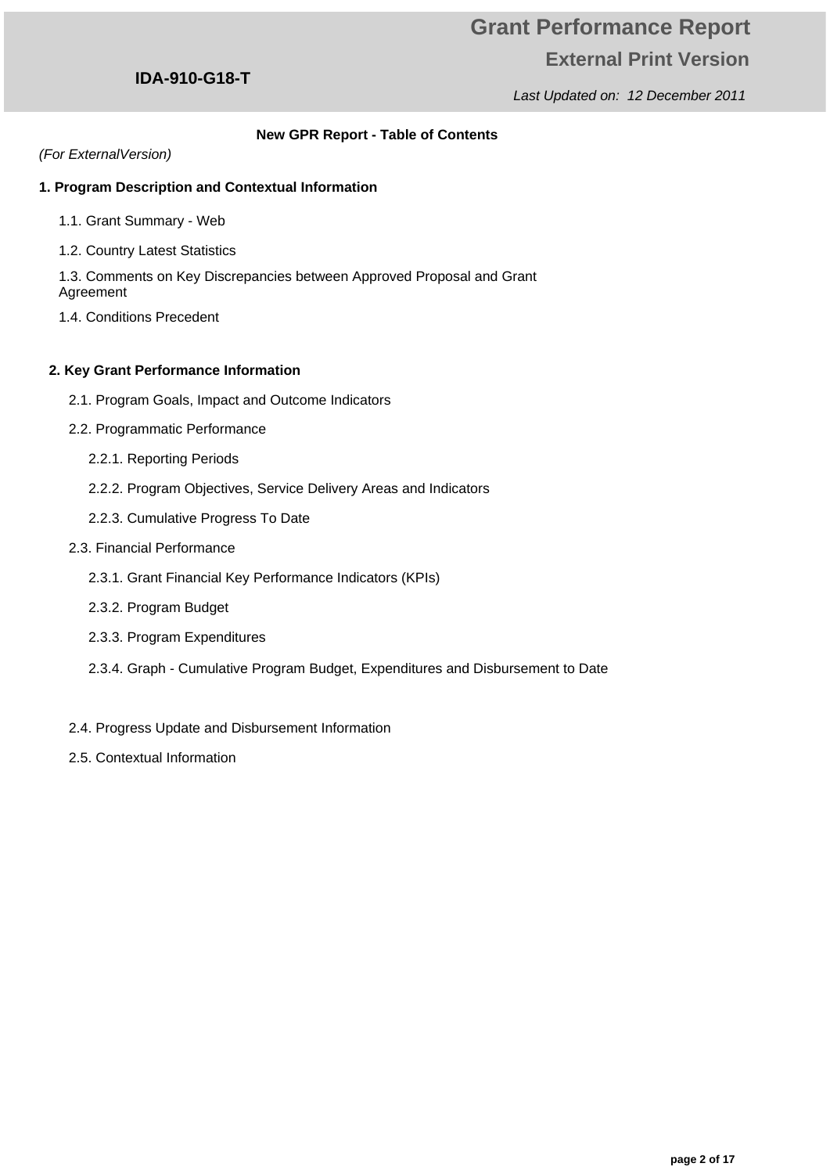Last Updated on: 12 December 2011

### **IDA-910-G18-T**

### **New GPR Report - Table of Contents**

### (For ExternalVersion)

### **1. Program Description and Contextual Information**

- 1.1. Grant Summary Web
- 1.2. Country Latest Statistics

1.3. Comments on Key Discrepancies between Approved Proposal and Grant Agreement

1.4. Conditions Precedent

### **2. Key Grant Performance Information**

- 2.1. Program Goals, Impact and Outcome Indicators
- 2.2. Programmatic Performance
	- 2.2.1. Reporting Periods
	- 2.2.2. Program Objectives, Service Delivery Areas and Indicators
	- 2.2.3. Cumulative Progress To Date
- 2.3. Financial Performance
	- 2.3.1. Grant Financial Key Performance Indicators (KPIs)
	- 2.3.2. Program Budget
	- 2.3.3. Program Expenditures
	- 2.3.4. Graph Cumulative Program Budget, Expenditures and Disbursement to Date
- 2.4. Progress Update and Disbursement Information
- 2.5. Contextual Information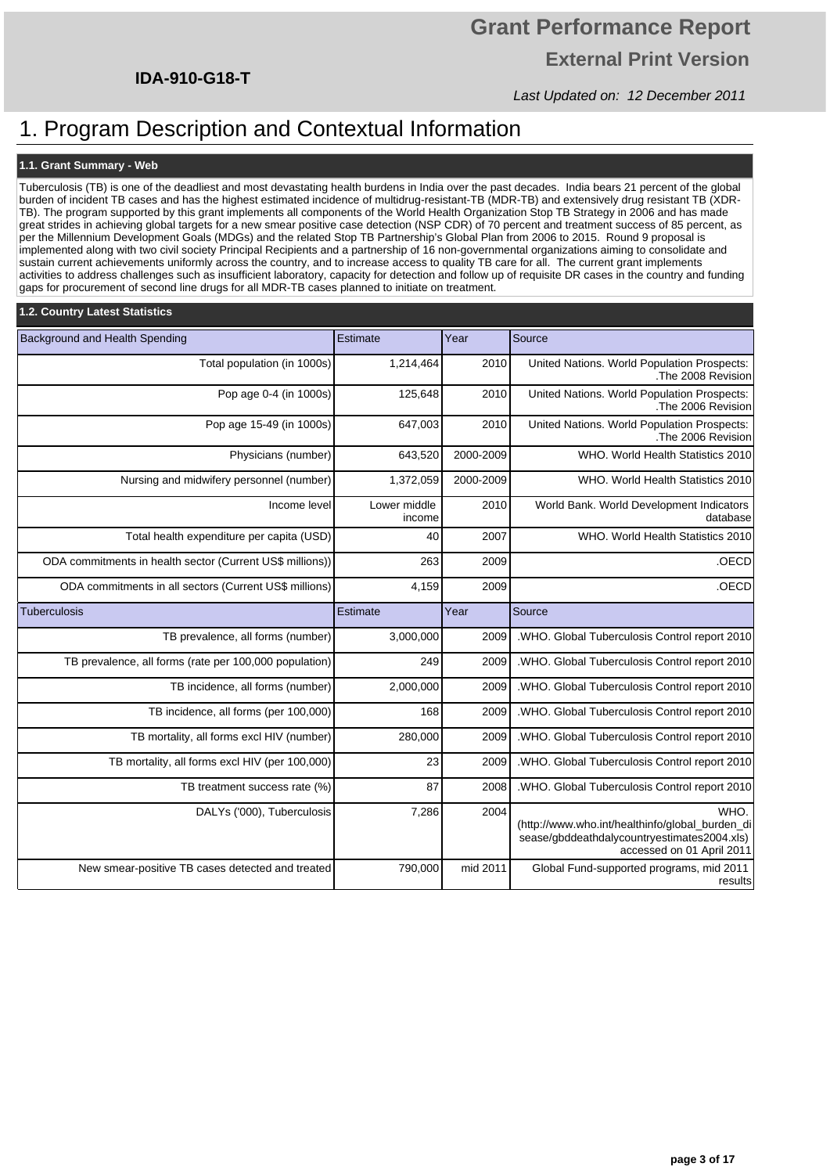# **Grant Performance Report External Print Version**

Last Updated on: 12 December 2011

## 1. Program Description and Contextual Information

### **1.1. Grant Summary - Web**

Tuberculosis (TB) is one of the deadliest and most devastating health burdens in India over the past decades. India bears 21 percent of the global burden of incident TB cases and has the highest estimated incidence of multidrug-resistant-TB (MDR-TB) and extensively drug resistant TB (XDR-TB). The program supported by this grant implements all components of the World Health Organization Stop TB Strategy in 2006 and has made great strides in achieving global targets for a new smear positive case detection (NSP CDR) of 70 percent and treatment success of 85 percent, as per the Millennium Development Goals (MDGs) and the related Stop TB Partnership's Global Plan from 2006 to 2015. Round 9 proposal is implemented along with two civil society Principal Recipients and a partnership of 16 non-governmental organizations aiming to consolidate and sustain current achievements uniformly across the country, and to increase access to quality TB care for all. The current grant implements activities to address challenges such as insufficient laboratory, capacity for detection and follow up of requisite DR cases in the country and funding gaps for procurement of second line drugs for all MDR-TB cases planned to initiate on treatment.

| 1.2. Country Latest Statistics                            |                        |           |                                                                                                                                     |
|-----------------------------------------------------------|------------------------|-----------|-------------------------------------------------------------------------------------------------------------------------------------|
| Background and Health Spending                            | Estimate               | Year      | Source                                                                                                                              |
| Total population (in 1000s)                               | 1,214,464              | 2010      | United Nations. World Population Prospects:<br>The 2008 Revision                                                                    |
| Pop age 0-4 (in 1000s)                                    | 125,648                | 2010      | United Nations. World Population Prospects:<br>The 2006 Revision                                                                    |
| Pop age 15-49 (in 1000s)                                  | 647,003                | 2010      | United Nations. World Population Prospects:<br>The 2006 Revision                                                                    |
| Physicians (number)                                       | 643,520                | 2000-2009 | WHO. World Health Statistics 2010                                                                                                   |
| Nursing and midwifery personnel (number)                  | 1,372,059              | 2000-2009 | WHO. World Health Statistics 2010                                                                                                   |
| Income level                                              | Lower middle<br>income | 2010      | World Bank. World Development Indicators<br>database                                                                                |
| Total health expenditure per capita (USD)                 | 40                     | 2007      | WHO. World Health Statistics 2010                                                                                                   |
| ODA commitments in health sector (Current US\$ millions)) | 263                    | 2009      | .OECD                                                                                                                               |
| ODA commitments in all sectors (Current US\$ millions)    | 4,159                  | 2009      | .OECD                                                                                                                               |
| <b>Tuberculosis</b>                                       | Estimate               | Year      | Source                                                                                                                              |
| TB prevalence, all forms (number)                         | 3,000,000              | 2009      | .WHO. Global Tuberculosis Control report 2010                                                                                       |
| TB prevalence, all forms (rate per 100,000 population)    | 249                    | 2009      | .WHO. Global Tuberculosis Control report 2010                                                                                       |
| TB incidence, all forms (number)                          | 2,000,000              | 2009      | .WHO. Global Tuberculosis Control report 2010                                                                                       |
| TB incidence, all forms (per 100,000)                     | 168                    | 2009      | .WHO. Global Tuberculosis Control report 2010                                                                                       |
| TB mortality, all forms excl HIV (number)                 | 280,000                | 2009      | .WHO. Global Tuberculosis Control report 2010                                                                                       |
|                                                           |                        |           |                                                                                                                                     |
| TB mortality, all forms excl HIV (per 100,000)            | 23                     | 2009      | .WHO. Global Tuberculosis Control report 2010                                                                                       |
| TB treatment success rate (%)                             | 87                     | 2008      | .WHO. Global Tuberculosis Control report 2010                                                                                       |
| DALYs ('000), Tuberculosis                                | 7,286<br>790,000       | 2004      | WHO.<br>(http://www.who.int/healthinfo/global burden di<br>sease/gbddeathdalycountryestimates2004.xls)<br>accessed on 01 April 2011 |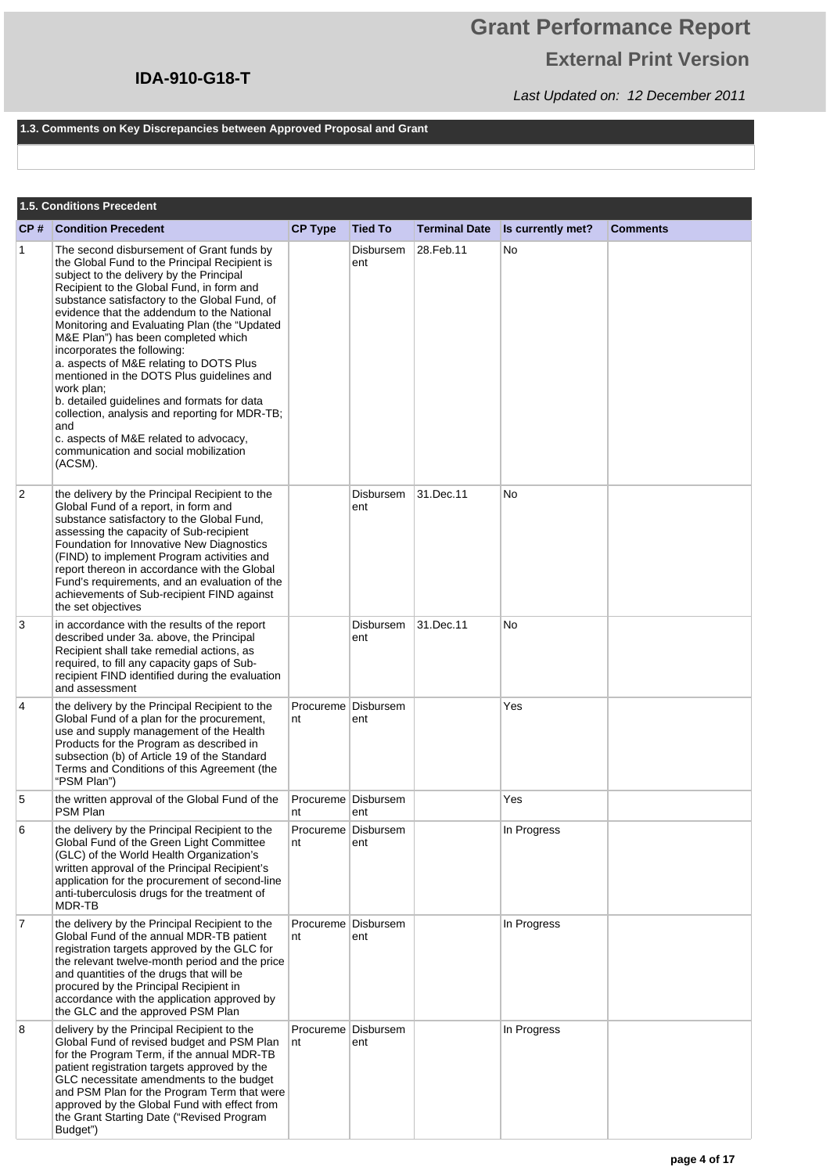# **Grant Performance Report External Print Version**

Last Updated on: 12 December 2011

### **1.3. Comments on Key Discrepancies between Approved Proposal and Grant**

|                | 1.5. Conditions Precedent                                                                                                                                                                                                                                                                                                                                                                                                                                                                                                                                                                                                                                                                                            |                |                              |                      |                   |                 |  |  |  |  |
|----------------|----------------------------------------------------------------------------------------------------------------------------------------------------------------------------------------------------------------------------------------------------------------------------------------------------------------------------------------------------------------------------------------------------------------------------------------------------------------------------------------------------------------------------------------------------------------------------------------------------------------------------------------------------------------------------------------------------------------------|----------------|------------------------------|----------------------|-------------------|-----------------|--|--|--|--|
| CP#            | <b>Condition Precedent</b>                                                                                                                                                                                                                                                                                                                                                                                                                                                                                                                                                                                                                                                                                           | <b>CP Type</b> | <b>Tied To</b>               | <b>Terminal Date</b> | Is currently met? | <b>Comments</b> |  |  |  |  |
| $\overline{1}$ | The second disbursement of Grant funds by<br>the Global Fund to the Principal Recipient is<br>subject to the delivery by the Principal<br>Recipient to the Global Fund, in form and<br>substance satisfactory to the Global Fund, of<br>evidence that the addendum to the National<br>Monitoring and Evaluating Plan (the "Updated<br>M&E Plan") has been completed which<br>incorporates the following:<br>a. aspects of M&E relating to DOTS Plus<br>mentioned in the DOTS Plus guidelines and<br>work plan;<br>b. detailed guidelines and formats for data<br>collection, analysis and reporting for MDR-TB;<br>and<br>c. aspects of M&E related to advocacy,<br>communication and social mobilization<br>(ACSM). |                | <b>Disbursem</b><br>ent      | 28. Feb. 11          | No                |                 |  |  |  |  |
| 2              | the delivery by the Principal Recipient to the<br>Global Fund of a report, in form and<br>substance satisfactory to the Global Fund,<br>assessing the capacity of Sub-recipient<br>Foundation for Innovative New Diagnostics<br>(FIND) to implement Program activities and<br>report thereon in accordance with the Global<br>Fund's requirements, and an evaluation of the<br>achievements of Sub-recipient FIND against<br>the set objectives                                                                                                                                                                                                                                                                      |                | Disbursem<br>ent             | 31.Dec.11            | No                |                 |  |  |  |  |
| 3              | in accordance with the results of the report<br>described under 3a. above, the Principal<br>Recipient shall take remedial actions, as<br>required, to fill any capacity gaps of Sub-<br>recipient FIND identified during the evaluation<br>and assessment                                                                                                                                                                                                                                                                                                                                                                                                                                                            |                | Disbursem<br>ent             | 31.Dec.11            | No                |                 |  |  |  |  |
| $\overline{4}$ | the delivery by the Principal Recipient to the<br>Global Fund of a plan for the procurement,<br>use and supply management of the Health<br>Products for the Program as described in<br>subsection (b) of Article 19 of the Standard<br>Terms and Conditions of this Agreement (the<br>"PSM Plan")                                                                                                                                                                                                                                                                                                                                                                                                                    | nt             | Procureme   Disbursem<br>ent |                      | Yes               |                 |  |  |  |  |
| 5              | the written approval of the Global Fund of the<br>PSM Plan                                                                                                                                                                                                                                                                                                                                                                                                                                                                                                                                                                                                                                                           | nt             | Procureme Disbursem<br>ent   |                      | Yes               |                 |  |  |  |  |
| 6              | the delivery by the Principal Recipient to the<br>Global Fund of the Green Light Committee<br>(GLC) of the World Health Organization's<br>written approval of the Principal Recipient's<br>application for the procurement of second-line<br>anti-tuberculosis drugs for the treatment of<br>MDR-TB                                                                                                                                                                                                                                                                                                                                                                                                                  | nt             | Procureme Disbursem<br>ent   |                      | In Progress       |                 |  |  |  |  |
| 7              | the delivery by the Principal Recipient to the<br>Global Fund of the annual MDR-TB patient<br>registration targets approved by the GLC for<br>the relevant twelve-month period and the price<br>and quantities of the drugs that will be<br>procured by the Principal Recipient in<br>accordance with the application approved by<br>the GLC and the approved PSM Plan                                                                                                                                                                                                                                                                                                                                               | nt             | Procureme   Disbursem<br>ent |                      | In Progress       |                 |  |  |  |  |
| 8              | delivery by the Principal Recipient to the<br>Global Fund of revised budget and PSM Plan<br>for the Program Term, if the annual MDR-TB<br>patient registration targets approved by the<br>GLC necessitate amendments to the budget<br>and PSM Plan for the Program Term that were<br>approved by the Global Fund with effect from<br>the Grant Starting Date ("Revised Program<br>Budget")                                                                                                                                                                                                                                                                                                                           | nt             | Procureme Disbursem<br>ent   |                      | In Progress       |                 |  |  |  |  |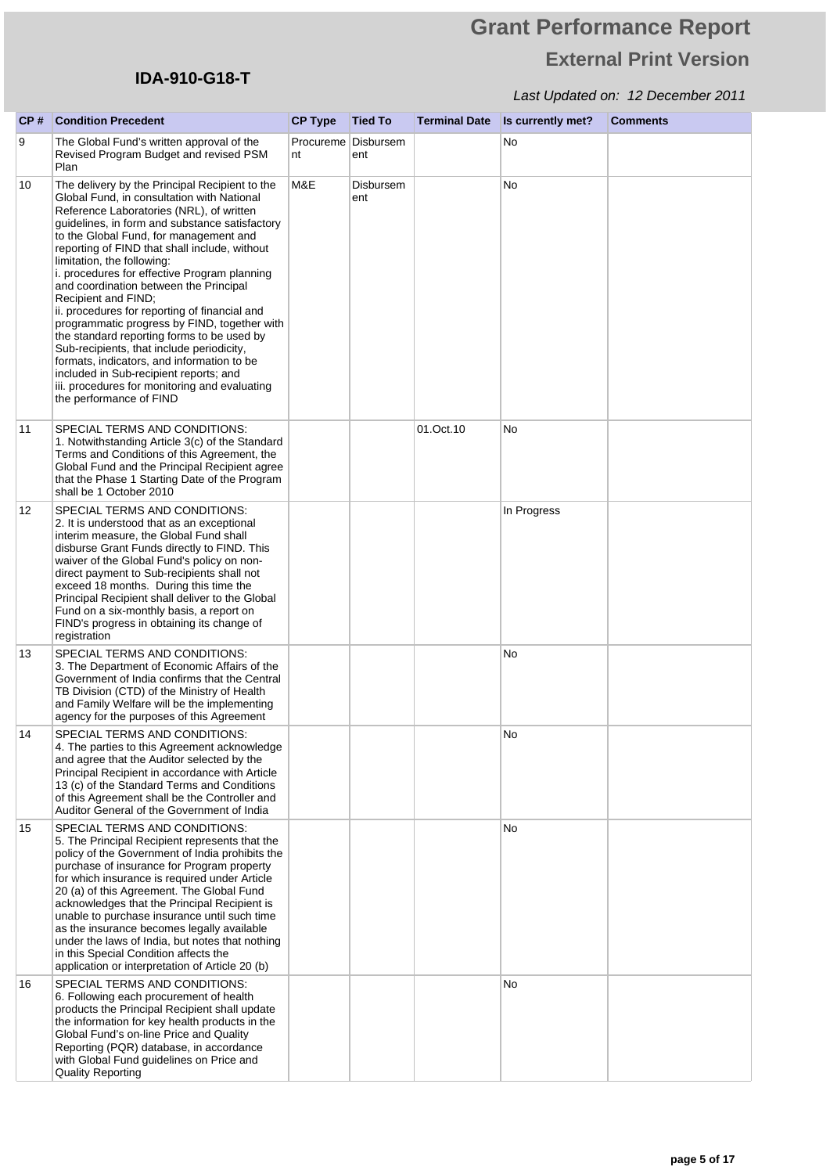# **Grant Performance Report External Print Version**

| CP# | <b>Condition Precedent</b>                                                                                                                                                                                                                                                                                                                                                                                                                                                                                                                                                                                                                                                                                                                                                                           | <b>CP Type</b> | <b>Tied To</b>               | <b>Terminal Date</b> | Is currently met? | <b>Comments</b> |
|-----|------------------------------------------------------------------------------------------------------------------------------------------------------------------------------------------------------------------------------------------------------------------------------------------------------------------------------------------------------------------------------------------------------------------------------------------------------------------------------------------------------------------------------------------------------------------------------------------------------------------------------------------------------------------------------------------------------------------------------------------------------------------------------------------------------|----------------|------------------------------|----------------------|-------------------|-----------------|
| 9   | The Global Fund's written approval of the<br>Revised Program Budget and revised PSM<br>Plan                                                                                                                                                                                                                                                                                                                                                                                                                                                                                                                                                                                                                                                                                                          | nt             | Procureme   Disbursem<br>ent |                      | No                |                 |
| 10  | The delivery by the Principal Recipient to the<br>Global Fund, in consultation with National<br>Reference Laboratories (NRL), of written<br>guidelines, in form and substance satisfactory<br>to the Global Fund, for management and<br>reporting of FIND that shall include, without<br>limitation, the following:<br>i. procedures for effective Program planning<br>and coordination between the Principal<br>Recipient and FIND;<br>ii. procedures for reporting of financial and<br>programmatic progress by FIND, together with<br>the standard reporting forms to be used by<br>Sub-recipients, that include periodicity,<br>formats, indicators, and information to be<br>included in Sub-recipient reports; and<br>iii. procedures for monitoring and evaluating<br>the performance of FIND | M&E            | Disbursem<br>ent             |                      | No                |                 |
| 11  | SPECIAL TERMS AND CONDITIONS:<br>1. Notwithstanding Article 3(c) of the Standard<br>Terms and Conditions of this Agreement, the<br>Global Fund and the Principal Recipient agree<br>that the Phase 1 Starting Date of the Program<br>shall be 1 October 2010                                                                                                                                                                                                                                                                                                                                                                                                                                                                                                                                         |                |                              | 01.Oct.10            | No                |                 |
| 12  | SPECIAL TERMS AND CONDITIONS:<br>2. It is understood that as an exceptional<br>interim measure, the Global Fund shall<br>disburse Grant Funds directly to FIND. This<br>waiver of the Global Fund's policy on non-<br>direct payment to Sub-recipients shall not<br>exceed 18 months. During this time the<br>Principal Recipient shall deliver to the Global<br>Fund on a six-monthly basis, a report on<br>FIND's progress in obtaining its change of<br>registration                                                                                                                                                                                                                                                                                                                              |                |                              |                      | In Progress       |                 |
| 13  | SPECIAL TERMS AND CONDITIONS:<br>3. The Department of Economic Affairs of the<br>Government of India confirms that the Central<br>TB Division (CTD) of the Ministry of Health<br>and Family Welfare will be the implementing<br>agency for the purposes of this Agreement                                                                                                                                                                                                                                                                                                                                                                                                                                                                                                                            |                |                              |                      | No                |                 |
| 14  | SPECIAL TERMS AND CONDITIONS:<br>4. The parties to this Agreement acknowledge<br>and agree that the Auditor selected by the<br>Principal Recipient in accordance with Article<br>13 (c) of the Standard Terms and Conditions<br>of this Agreement shall be the Controller and<br>Auditor General of the Government of India                                                                                                                                                                                                                                                                                                                                                                                                                                                                          |                |                              |                      | No                |                 |
| 15  | SPECIAL TERMS AND CONDITIONS:<br>5. The Principal Recipient represents that the<br>policy of the Government of India prohibits the<br>purchase of insurance for Program property<br>for which insurance is required under Article<br>20 (a) of this Agreement. The Global Fund<br>acknowledges that the Principal Recipient is<br>unable to purchase insurance until such time<br>as the insurance becomes legally available<br>under the laws of India, but notes that nothing<br>in this Special Condition affects the<br>application or interpretation of Article 20 (b)                                                                                                                                                                                                                          |                |                              |                      | No                |                 |
| 16  | SPECIAL TERMS AND CONDITIONS:<br>6. Following each procurement of health<br>products the Principal Recipient shall update<br>the information for key health products in the<br>Global Fund's on-line Price and Quality<br>Reporting (PQR) database, in accordance<br>with Global Fund guidelines on Price and<br><b>Quality Reporting</b>                                                                                                                                                                                                                                                                                                                                                                                                                                                            |                |                              |                      | No                |                 |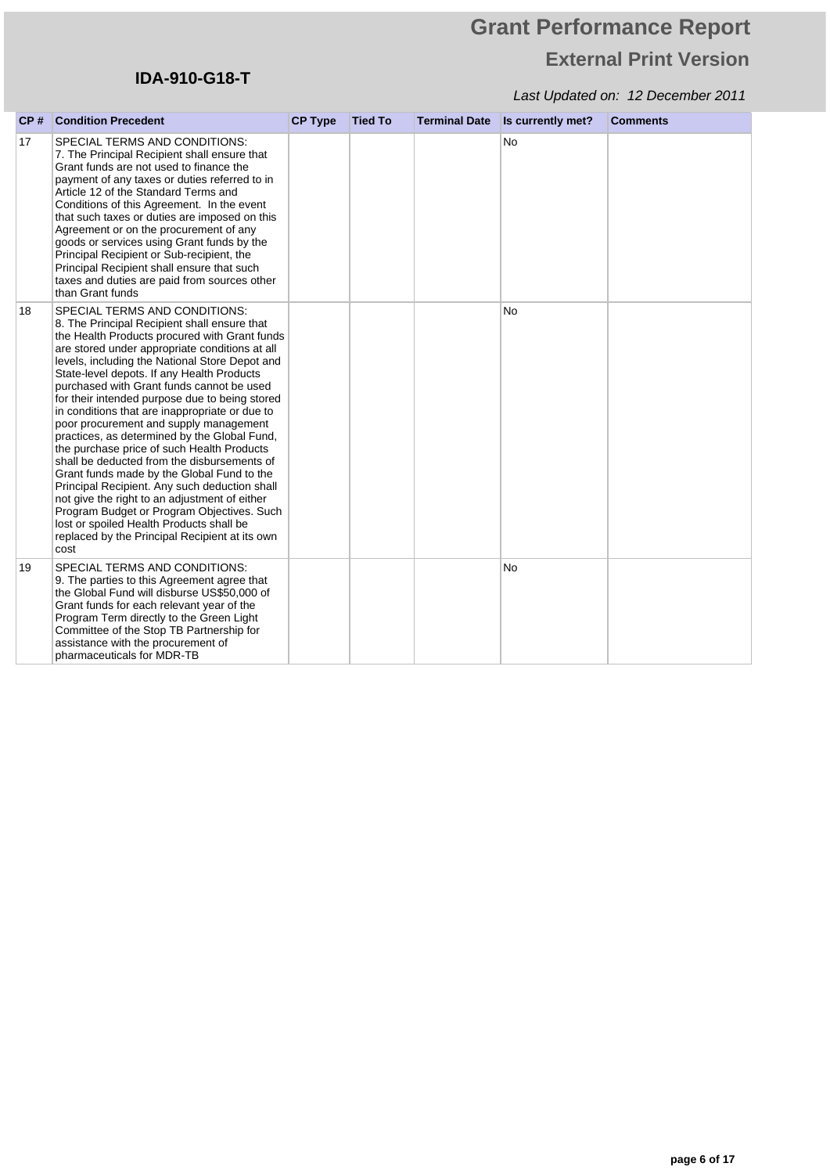# **Grant Performance Report External Print Version**

| CP# | <b>Condition Precedent</b>                                                                                                                                                                                                                                                                                                                                                                                                                                                                                                                                                                                                                                                                                                                                                                                                                                                                                                   | <b>CP Type</b> | <b>Tied To</b> | <b>Terminal Date</b> | Is currently met? | <b>Comments</b> |
|-----|------------------------------------------------------------------------------------------------------------------------------------------------------------------------------------------------------------------------------------------------------------------------------------------------------------------------------------------------------------------------------------------------------------------------------------------------------------------------------------------------------------------------------------------------------------------------------------------------------------------------------------------------------------------------------------------------------------------------------------------------------------------------------------------------------------------------------------------------------------------------------------------------------------------------------|----------------|----------------|----------------------|-------------------|-----------------|
| 17  | SPECIAL TERMS AND CONDITIONS:<br>7. The Principal Recipient shall ensure that<br>Grant funds are not used to finance the<br>payment of any taxes or duties referred to in<br>Article 12 of the Standard Terms and<br>Conditions of this Agreement. In the event<br>that such taxes or duties are imposed on this<br>Agreement or on the procurement of any<br>goods or services using Grant funds by the<br>Principal Recipient or Sub-recipient, the<br>Principal Recipient shall ensure that such<br>taxes and duties are paid from sources other<br>than Grant funds                                                                                                                                                                                                                                                                                                                                                      |                |                |                      | <b>No</b>         |                 |
| 18  | SPECIAL TERMS AND CONDITIONS:<br>8. The Principal Recipient shall ensure that<br>the Health Products procured with Grant funds<br>are stored under appropriate conditions at all<br>levels, including the National Store Depot and<br>State-level depots. If any Health Products<br>purchased with Grant funds cannot be used<br>for their intended purpose due to being stored<br>in conditions that are inappropriate or due to<br>poor procurement and supply management<br>practices, as determined by the Global Fund,<br>the purchase price of such Health Products<br>shall be deducted from the disbursements of<br>Grant funds made by the Global Fund to the<br>Principal Recipient. Any such deduction shall<br>not give the right to an adjustment of either<br>Program Budget or Program Objectives. Such<br>lost or spoiled Health Products shall be<br>replaced by the Principal Recipient at its own<br>cost |                |                |                      | <b>No</b>         |                 |
| 19  | SPECIAL TERMS AND CONDITIONS:<br>9. The parties to this Agreement agree that<br>the Global Fund will disburse US\$50,000 of<br>Grant funds for each relevant year of the<br>Program Term directly to the Green Light<br>Committee of the Stop TB Partnership for<br>assistance with the procurement of<br>pharmaceuticals for MDR-TB                                                                                                                                                                                                                                                                                                                                                                                                                                                                                                                                                                                         |                |                |                      | <b>No</b>         |                 |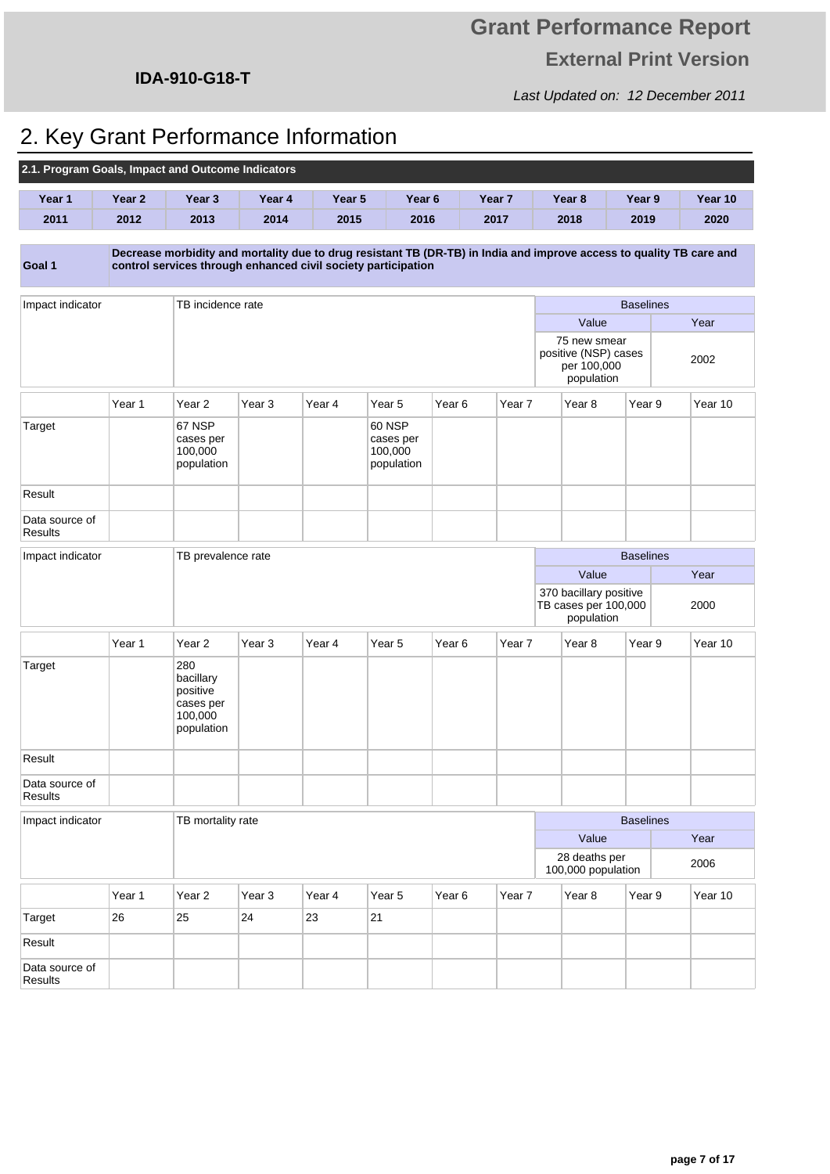Last Updated on: 12 December 2011

## **IDA-910-G18-T**

# 2. Key Grant Performance Information

| 2.1. Program Goals, Impact and Outcome Indicators |        |                                                                    |                   |        |                                                     |                   |        |                                                                   |                  |                                                                                                                      |
|---------------------------------------------------|--------|--------------------------------------------------------------------|-------------------|--------|-----------------------------------------------------|-------------------|--------|-------------------------------------------------------------------|------------------|----------------------------------------------------------------------------------------------------------------------|
| Year 1                                            | Year 2 | Year 3                                                             | Year 4            | Year 5 | Year <sub>6</sub>                                   |                   | Year 7 | Year <sub>8</sub>                                                 | Year 9           | Year 10                                                                                                              |
| 2011                                              | 2012   | 2013                                                               | 2014              | 2015   | 2016                                                |                   | 2017   | 2018                                                              | 2019             | 2020                                                                                                                 |
| Goal 1                                            |        | control services through enhanced civil society participation      |                   |        |                                                     |                   |        |                                                                   |                  | Decrease morbidity and mortality due to drug resistant TB (DR-TB) in India and improve access to quality TB care and |
| Impact indicator                                  |        | TB incidence rate                                                  |                   |        |                                                     |                   |        |                                                                   | <b>Baselines</b> |                                                                                                                      |
|                                                   |        |                                                                    |                   |        |                                                     |                   |        | Value                                                             |                  | Year                                                                                                                 |
|                                                   |        |                                                                    |                   |        |                                                     |                   |        | 75 new smear<br>positive (NSP) cases<br>per 100,000<br>population |                  | 2002                                                                                                                 |
|                                                   | Year 1 | Year <sub>2</sub>                                                  | Year <sub>3</sub> | Year 4 | Year <sub>5</sub>                                   | Year <sub>6</sub> | Year 7 | Year 8                                                            | Year 9           | Year 10                                                                                                              |
| Target                                            |        | 67 NSP<br>cases per<br>100,000<br>population                       |                   |        | <b>60 NSP</b><br>cases per<br>100,000<br>population |                   |        |                                                                   |                  |                                                                                                                      |
| Result                                            |        |                                                                    |                   |        |                                                     |                   |        |                                                                   |                  |                                                                                                                      |
| Data source of<br><b>Results</b>                  |        |                                                                    |                   |        |                                                     |                   |        |                                                                   |                  |                                                                                                                      |
| Impact indicator                                  |        | TB prevalence rate                                                 |                   |        |                                                     |                   |        |                                                                   | <b>Baselines</b> |                                                                                                                      |
|                                                   |        |                                                                    |                   |        |                                                     |                   |        | Value                                                             |                  | Year                                                                                                                 |
|                                                   |        |                                                                    |                   |        |                                                     |                   |        | 370 bacillary positive<br>TB cases per 100,000<br>population      |                  | 2000                                                                                                                 |
|                                                   | Year 1 | Year <sub>2</sub>                                                  | Year <sub>3</sub> | Year 4 | Year <sub>5</sub>                                   | Year <sub>6</sub> | Year 7 | Year 8                                                            | Year 9           | Year 10                                                                                                              |
| Target                                            |        | 280<br>bacillary<br>positive<br>cases per<br>100,000<br>population |                   |        |                                                     |                   |        |                                                                   |                  |                                                                                                                      |
| Result                                            |        |                                                                    |                   |        |                                                     |                   |        |                                                                   |                  |                                                                                                                      |
| Data source of<br>Results                         |        |                                                                    |                   |        |                                                     |                   |        |                                                                   |                  |                                                                                                                      |
| Impact indicator                                  |        | TB mortality rate                                                  |                   |        |                                                     |                   |        |                                                                   | <b>Baselines</b> |                                                                                                                      |
|                                                   |        | Value                                                              |                   |        |                                                     |                   |        |                                                                   | Year             |                                                                                                                      |
|                                                   |        |                                                                    |                   |        |                                                     |                   |        | 28 deaths per<br>100,000 population                               |                  | 2006                                                                                                                 |
|                                                   | Year 1 | Year 2                                                             | Year <sub>3</sub> | Year 4 | Year <sub>5</sub>                                   | Year 6            | Year 7 | Year <sub>8</sub>                                                 | Year 9           | Year 10                                                                                                              |
| Target                                            | 26     | 25                                                                 | 24                | 23     | 21                                                  |                   |        |                                                                   |                  |                                                                                                                      |
| Result                                            |        |                                                                    |                   |        |                                                     |                   |        |                                                                   |                  |                                                                                                                      |
| Data source of<br>Results                         |        |                                                                    |                   |        |                                                     |                   |        |                                                                   |                  |                                                                                                                      |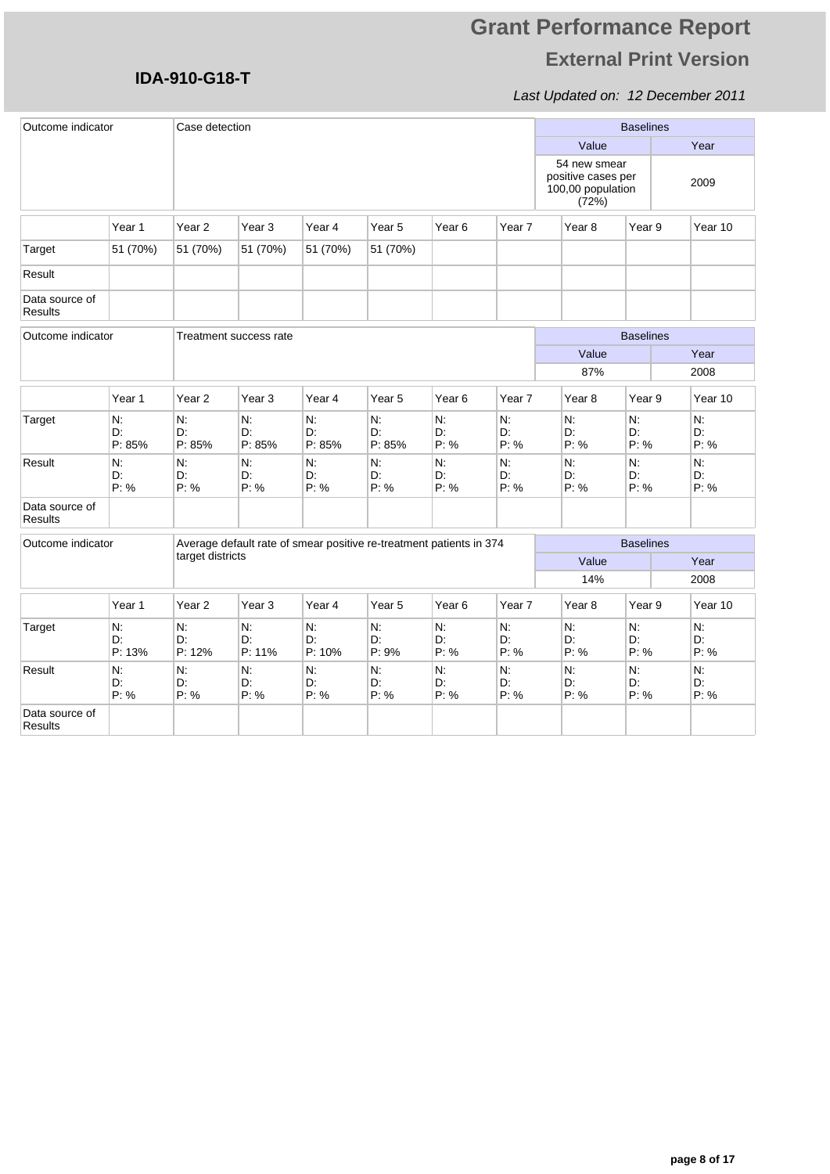## Last Updated on: 12 December 2011

| Outcome indicator                |                    | Case detection     |                        |                    |                                                                     |                     |                  |                                                                  | <b>Baselines</b> |                  |
|----------------------------------|--------------------|--------------------|------------------------|--------------------|---------------------------------------------------------------------|---------------------|------------------|------------------------------------------------------------------|------------------|------------------|
|                                  |                    |                    |                        |                    |                                                                     |                     |                  | Value                                                            |                  | Year             |
|                                  |                    |                    |                        |                    |                                                                     |                     |                  | 54 new smear<br>positive cases per<br>100,00 population<br>(72%) |                  | 2009             |
|                                  | Year 1             | Year <sub>2</sub>  | Year <sub>3</sub>      | Year 4             | Year <sub>5</sub>                                                   | Year <sub>6</sub>   | Year 7           | Year <sub>8</sub>                                                | Year 9           | Year 10          |
| Target                           | 51 (70%)           | 51 (70%)           | 51 (70%)               | 51 (70%)           | 51 (70%)                                                            |                     |                  |                                                                  |                  |                  |
| Result                           |                    |                    |                        |                    |                                                                     |                     |                  |                                                                  |                  |                  |
| Data source of<br>Results        |                    |                    |                        |                    |                                                                     |                     |                  |                                                                  |                  |                  |
| Outcome indicator                |                    |                    | Treatment success rate |                    |                                                                     |                     |                  |                                                                  | <b>Baselines</b> |                  |
|                                  |                    |                    |                        |                    |                                                                     |                     |                  | Value                                                            |                  | Year             |
|                                  |                    |                    |                        |                    |                                                                     |                     |                  | 87%                                                              |                  | 2008             |
|                                  | Year 1             | Year <sub>2</sub>  | Year 3                 | Year 4             | Year <sub>5</sub>                                                   | Year <sub>6</sub>   | Year 7           | Year <sub>8</sub>                                                | Year 9           | Year 10          |
| Target                           | N:<br>D:<br>P: 85% | N:<br>D:<br>P: 85% | N:<br>D:<br>P: 85%     | N:<br>D.<br>P: 85% | N:<br>D:<br>P: 85%                                                  | N.<br>D:<br>P: %    | N:<br>D.<br>P: % | N:<br>D:<br>P: %                                                 | N.<br>D.<br>P: % | N:<br>D:<br>P: % |
| Result                           | N:<br>D:<br>P: %   | N.<br>D:<br>P: %   | N:<br>D:<br>P: %       | N:<br>D.<br>P: %   | N:<br>D:<br>P: %                                                    | N.<br>D.<br>P: %    | N:<br>D.<br>P: % | N.<br>D:<br>P: %                                                 | N.<br>D.<br>P: % | N:<br>D:<br>P: % |
| Data source of<br><b>Results</b> |                    |                    |                        |                    |                                                                     |                     |                  |                                                                  |                  |                  |
| Outcome indicator                |                    |                    |                        |                    | Average default rate of smear positive re-treatment patients in 374 |                     |                  |                                                                  | <b>Baselines</b> |                  |
|                                  |                    | target districts   |                        |                    |                                                                     |                     |                  | Value                                                            |                  | Year             |
|                                  |                    |                    |                        |                    |                                                                     |                     |                  | 14%                                                              |                  | 2008             |
|                                  | Year 1             | Year <sub>2</sub>  | Year 3                 | Year 4             | Year <sub>5</sub>                                                   | Year <sub>6</sub>   | Year 7           | Year <sub>8</sub>                                                | Year 9           | Year 10          |
| Target                           | N.<br>D:<br>P: 13% | N.<br>D:<br>P: 12% | N:<br>D:<br>P: 11%     | N:<br>D:<br>P: 10% | N:<br>D:<br>P: 9%                                                   | $N$ :<br>D:<br>P: % | N.<br>D:<br>P: % | N.<br>D:<br>P: %                                                 | N:<br>D:<br>P: % | N.<br>D:<br>P: % |
| Result                           | N.<br>D:<br>P: %   | N.<br>D:<br>P: %   | Ν.<br>D:<br>P: %       | N:<br>D.<br>P: %   | N:<br>D:<br>P: %                                                    | N:<br>D:<br>P: %    | N.<br>D:<br>P: % | N.<br>D:<br>P: %                                                 | N.<br>D:<br>P: % | N.<br>D:<br>P: % |
| Data source of<br>Results        |                    |                    |                        |                    |                                                                     |                     |                  |                                                                  |                  |                  |

**IDA-910-G18-T**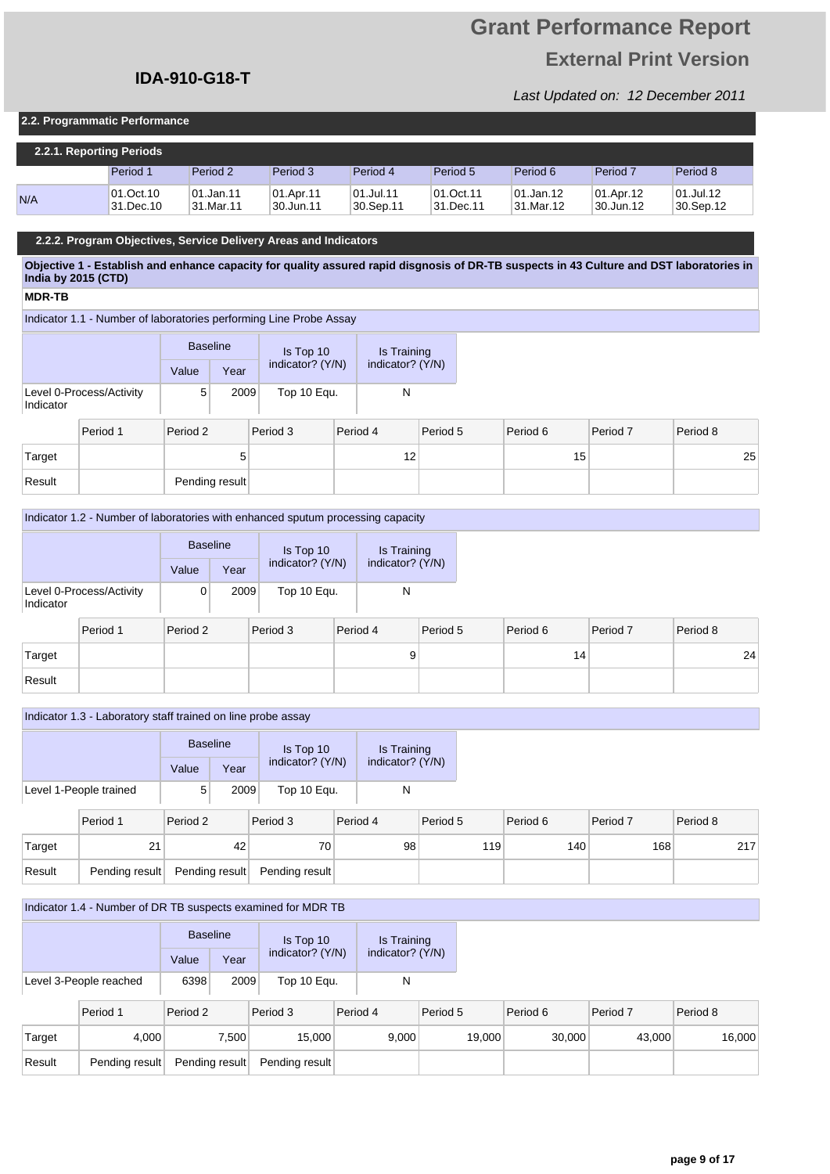# **Grant Performance Report External Print Version**

Last Updated on: 12 December 2011

### **2.2. Programmatic Performance**

| 2.2.1. Reporting Periods |                        |                          |                        |                            |                        |                         |                        |                        |  |  |
|--------------------------|------------------------|--------------------------|------------------------|----------------------------|------------------------|-------------------------|------------------------|------------------------|--|--|
|                          | Period 1               | Period 2                 | Period 3               | Period 4                   | Period 5               | Period 6                | Period <sub>7</sub>    | Period 8               |  |  |
| N/A                      | 01.Oct.10<br>31.Dec.10 | 101.Jan.11<br> 31.Mar.11 | 01.Apr.11<br>30.Jun.11 | $ 01.J$ ul.11<br>30.Sep.11 | 01.Oct.11<br>31.Dec.11 | 101.Jan.12<br>31.Mar.12 | 01.Apr.12<br>30.Jun.12 | 01.Jul.12<br>30.Sep.12 |  |  |

### **2.2.2. Program Objectives, Service Delivery Areas and Indicators**

**Objective 1 - Establish and enhance capacity for quality assured rapid disgnosis of DR-TB suspects in 43 Culture and DST laboratories in India by 2015 (CTD)**

### **MDR-TB**

Indicator 1.1 - Number of laboratories performing Line Probe Assay

|                                       | <b>Baseline</b> |      | Is Top 10        | Is Training      |  |
|---------------------------------------|-----------------|------|------------------|------------------|--|
|                                       | Value           | Year | indicator? (Y/N) | indicator? (Y/N) |  |
| Level 0-Process/Activity<br>Indicator | 5               | 2009 | Top 10 Equ.      |                  |  |

|        | Period 1 | Period 2       | Period 3 | Period 4 | Period 5 | Period 6 | Period 7 | Period 8 |
|--------|----------|----------------|----------|----------|----------|----------|----------|----------|
| Target |          | 5              |          | 12<br>ı∠ |          | 15       |          | 25       |
| Result |          | Pending result |          |          |          |          |          |          |

### Indicator 1.2 - Number of laboratories with enhanced sputum processing capacity

|           |                          | <b>Baseline</b> |      | Is Top 10        |          |                  | Is Training |
|-----------|--------------------------|-----------------|------|------------------|----------|------------------|-------------|
|           |                          | Value           | Year | indicator? (Y/N) |          | indicator? (Y/N) |             |
| Indicator | Level 0-Process/Activity |                 | 2009 | Top 10 Equ.      |          | N                |             |
|           | Period 1                 | Period 2        |      | Period 3         | Period 4 |                  | Period !    |

|        | Period 1 | Period 2 | Period 3 | Period 4 | Period 5 | Period 6 | Period 7 | Period 8 |
|--------|----------|----------|----------|----------|----------|----------|----------|----------|
| Target |          |          |          |          |          | 14       |          | 24       |
| Result |          |          |          |          |          |          |          |          |

#### Indicator 1.3 - Laboratory staff trained on line probe assay

|                        | <b>Baseline</b> |      | Is Top 10        | Is Training      |  |
|------------------------|-----------------|------|------------------|------------------|--|
|                        | Value           | Year | indicator? (Y/N) | indicator? (Y/N) |  |
| Level 1-People trained | 5               | 2009 | Top 10 Equ.      |                  |  |
|                        |                 |      |                  |                  |  |

|        | Period 1 | Period 2 | Period 3                                     | Period 4 | Period 5         | Period 6 | Period 7 | Period 8 |
|--------|----------|----------|----------------------------------------------|----------|------------------|----------|----------|----------|
| Target |          | 42       | 70                                           | 98       | 119 <sub>1</sub> | 140      | 168      | 217      |
| Result |          |          | Pending result Pending result Pending result |          |                  |          |          |          |

### Indicator 1.4 - Number of DR TB suspects examined for MDR TB

|                        | <b>Baseline</b> |      | Is Top 10        | Is Training      |  |
|------------------------|-----------------|------|------------------|------------------|--|
|                        | Value           | Year | indicator? (Y/N) | indicator? (Y/N) |  |
| Level 3-People reached | 6398            | 2009 | Top 10 Equ.      | N                |  |

|        | Period 1       | Period 2       | Period 3       | Period 4 | Period 5 | Period 6 | Period 7 | Period 8 |
|--------|----------------|----------------|----------------|----------|----------|----------|----------|----------|
| Target | 4,000          | 7,500⊺         | 15.000         | 9.000    | 19,000   | 30.000   | 43,000   | 16,000   |
| Result | Pending result | Pending result | Pending result |          |          |          |          |          |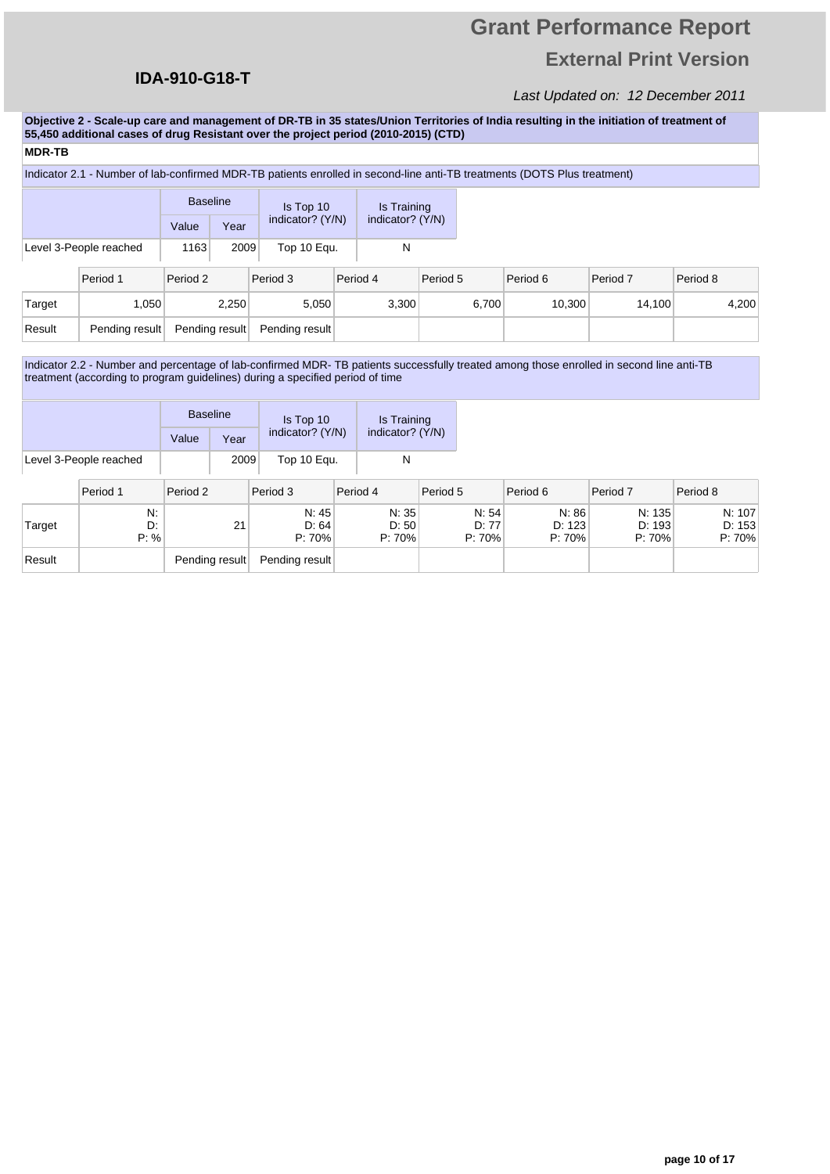## **IDA-910-G18-T**

## Last Updated on: 12 December 2011

**Objective 2 - Scale-up care and management of DR-TB in 35 states/Union Territories of India resulting in the initiation of treatment of 55,450 additional cases of drug Resistant over the project period (2010-2015) (CTD)**

### **MDR-TB**

### Indicator 2.1 - Number of lab-confirmed MDR-TB patients enrolled in second-line anti-TB treatments (DOTS Plus treatment)

|        |                        |                | <b>Baseline</b> | Is Top 10      |                  | Is Training |                  |       |          |          |          |       |
|--------|------------------------|----------------|-----------------|----------------|------------------|-------------|------------------|-------|----------|----------|----------|-------|
|        |                        | Value          | Year            |                | indicator? (Y/N) |             | indicator? (Y/N) |       |          |          |          |       |
|        | Level 3-People reached | 1163           | 2009            | Top 10 Equ.    |                  | N           |                  |       |          |          |          |       |
|        | Period 1               | Period 2       |                 | Period 3       |                  | Period 4    | Period 5         |       | Period 6 | Period 7 | Period 8 |       |
| Target | 1.050                  |                | 2,250           | 5,050          |                  | 3.300       |                  | 6,700 | 10.300   | 14.100   |          | 4,200 |
| Result | Pending result         | Pending result |                 | Pending result |                  |             |                  |       |          |          |          |       |

Indicator 2.2 - Number and percentage of lab-confirmed MDR- TB patients successfully treated among those enrolled in second line anti-TB treatment (according to program guidelines) during a specified period of time

|                        | <b>Baseline</b> |      | Is Top 10        | Is Training<br>indicator? (Y/N) |  |
|------------------------|-----------------|------|------------------|---------------------------------|--|
|                        | Value           | Year | indicator? (Y/N) |                                 |  |
| Level 3-People reached |                 | 2009 | Top 10 Equ.      |                                 |  |

|        | Period 1         | Period 2       | Period 3                 | Period 4                   | Period 5                 | Period 6                  | Period 7                   | Period 8                   |
|--------|------------------|----------------|--------------------------|----------------------------|--------------------------|---------------------------|----------------------------|----------------------------|
| Target | N.<br>D:<br>P: % | 21             | N: 45<br>D: 64<br>P: 70% | N: 35<br>D:50<br>$P: 70\%$ | N: 54<br>D: 77<br>P: 70% | N: 86<br>D: 123<br>P: 70% | N: 135<br>D: 193<br>P: 70% | N: 107<br>D: 153<br>P: 70% |
| Result |                  | Pending result | Pending result           |                            |                          |                           |                            |                            |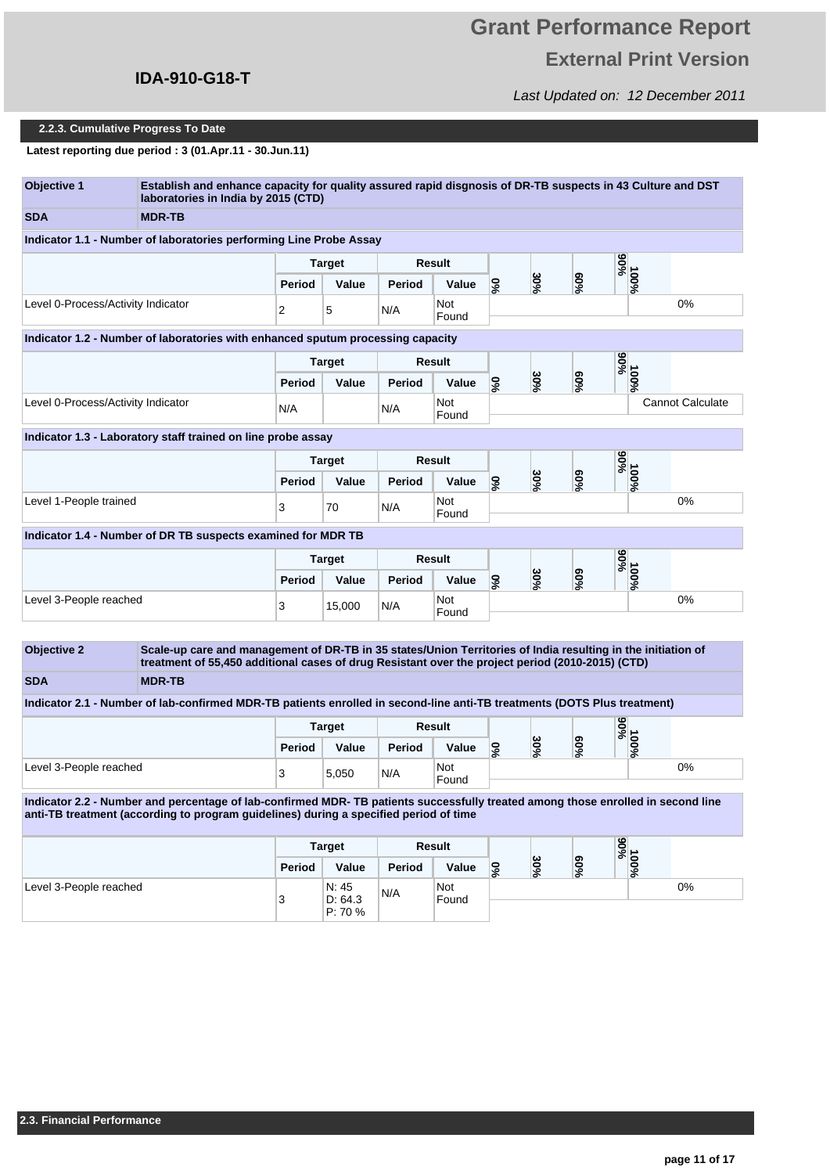# **Grant Performance Report External Print Version**

Last Updated on: 12 December 2011

### **2.2.3. Cumulative Progress To Date**

**Latest reporting due period : 3 (01.Apr.11 - 30.Jun.11)**

| Objective 1                        | Establish and enhance capacity for quality assured rapid disgnosis of DR-TB suspects in 43 Culture and DST<br>laboratories in India by 2015 (CTD)                                                                                 |               |               |               |               |                             |     |                  |                   |                         |
|------------------------------------|-----------------------------------------------------------------------------------------------------------------------------------------------------------------------------------------------------------------------------------|---------------|---------------|---------------|---------------|-----------------------------|-----|------------------|-------------------|-------------------------|
| <b>SDA</b>                         | <b>MDR-TB</b>                                                                                                                                                                                                                     |               |               |               |               |                             |     |                  |                   |                         |
|                                    | Indicator 1.1 - Number of laboratories performing Line Probe Assay                                                                                                                                                                |               |               |               |               |                             |     |                  |                   |                         |
|                                    |                                                                                                                                                                                                                                   |               | <b>Target</b> |               | <b>Result</b> |                             |     |                  | %66               |                         |
|                                    |                                                                                                                                                                                                                                   | Period        | Value         | Period        | Value         | %0                          | 30% | $60\%$           | 100%              |                         |
| Level 0-Process/Activity Indicator |                                                                                                                                                                                                                                   | 2             | 5             | N/A           | Not<br>Found  |                             |     |                  |                   | 0%                      |
|                                    | Indicator 1.2 - Number of laboratories with enhanced sputum processing capacity                                                                                                                                                   |               |               |               |               |                             |     |                  |                   |                         |
|                                    |                                                                                                                                                                                                                                   |               | <b>Target</b> |               | <b>Result</b> |                             |     |                  |                   |                         |
|                                    |                                                                                                                                                                                                                                   | Period        | Value         | Period        | Value         | $\mathcal{S}^{\mathcal{S}}$ | 30% | $60\%$           | %00L              |                         |
| Level 0-Process/Activity Indicator |                                                                                                                                                                                                                                   | N/A           |               | N/A           | Not<br>Found  |                             |     |                  |                   | <b>Cannot Calculate</b> |
|                                    | Indicator 1.3 - Laboratory staff trained on line probe assay                                                                                                                                                                      |               |               |               |               |                             |     |                  |                   |                         |
|                                    |                                                                                                                                                                                                                                   |               | Target        |               | <b>Result</b> |                             |     |                  |                   |                         |
|                                    |                                                                                                                                                                                                                                   | Period        | Value         | Period        | Value         | $\mathcal{S}^{\mathcal{S}}$ | 30% | $60\%$           | %00L              |                         |
| Level 1-People trained             |                                                                                                                                                                                                                                   | 3             | 70            | N/A           | Not<br>Found  |                             |     |                  |                   | 0%                      |
|                                    | Indicator 1.4 - Number of DR TB suspects examined for MDR TB                                                                                                                                                                      |               |               |               |               |                             |     |                  |                   |                         |
|                                    |                                                                                                                                                                                                                                   |               | <b>Target</b> | <b>Result</b> |               |                             |     |                  | %56               |                         |
|                                    |                                                                                                                                                                                                                                   | Period        | Value         | Period        | Value         | %                           | 30% | 900 <sub>6</sub> | 100%              |                         |
| Level 3-People reached             |                                                                                                                                                                                                                                   | 3             | 15,000        | N/A           | Not<br>Found  |                             |     |                  |                   | 0%                      |
| <b>Objective 2</b><br><b>SDA</b>   | Scale-up care and management of DR-TB in 35 states/Union Territories of India resulting in the initiation of<br>treatment of 55,450 additional cases of drug Resistant over the project period (2010-2015) (CTD)<br><b>MDR-TB</b> |               |               |               |               |                             |     |                  |                   |                         |
|                                    | Indicator 2.1 - Number of lab-confirmed MDR-TB patients enrolled in second-line anti-TB treatments (DOTS Plus treatment)                                                                                                          |               |               |               |               |                             |     |                  |                   |                         |
|                                    |                                                                                                                                                                                                                                   |               | Target        |               | Result        |                             |     |                  | %06               |                         |
|                                    |                                                                                                                                                                                                                                   | <b>Period</b> | Value         | Period        | Value         | %                           | 30% | 900 <sub>6</sub> | 100%              |                         |
| Level 3-People reached             |                                                                                                                                                                                                                                   | 3             | 5,050         | N/A           | Not<br>Found  |                             |     |                  |                   | 0%                      |
|                                    | Indicator 2.2 - Number and percentage of lab-confirmed MDR-TB patients successfully treated among those enrolled in second line<br>anti-TB treatment (according to program guidelines) during a specified period of time          |               |               |               |               |                             |     |                  |                   |                         |
|                                    |                                                                                                                                                                                                                                   |               | <b>Target</b> |               | <b>Result</b> |                             |     |                  |                   |                         |
|                                    |                                                                                                                                                                                                                                   | Period        | Value         | Period        | Value         | 9%                          | 30% | $60\%$           | 90%<br>00%<br>00% |                         |
| Level 3-People reached             |                                                                                                                                                                                                                                   |               | N: 45         | N/A           | Not           |                             |     |                  |                   | 0%                      |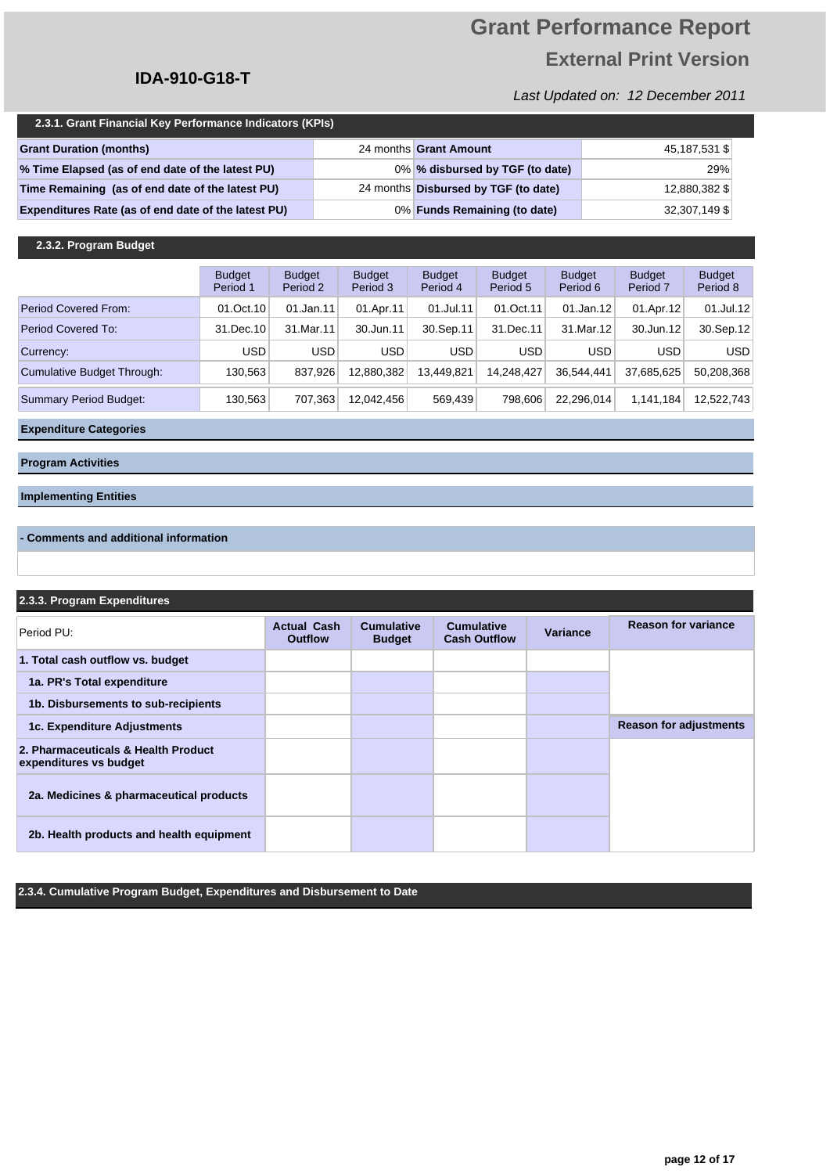# **Grant Performance Report External Print Version**

Last Updated on: 12 December 2011

| 2.3.1. Grant Financial Key Performance Indicators (KPIs) |  |                                      |               |  |  |  |
|----------------------------------------------------------|--|--------------------------------------|---------------|--|--|--|
| <b>Grant Duration (months)</b>                           |  | 24 months Grant Amount               | 45,187,531 \$ |  |  |  |
| % Time Elapsed (as of end date of the latest PU)         |  | 0% % disbursed by TGF (to date)      | 29%           |  |  |  |
| Time Remaining (as of end date of the latest PU)         |  | 24 months Disbursed by TGF (to date) | 12,880,382 \$ |  |  |  |
| Expenditures Rate (as of end date of the latest PU)      |  | 0% Funds Remaining (to date)         | 32,307,149 \$ |  |  |  |

### **2.3.2. Program Budget**

|                               | <b>Budget</b><br>Period 1 | <b>Budget</b><br>Period 2 | <b>Budget</b><br>Period 3 | <b>Budget</b><br>Period 4 | <b>Budget</b><br>Period 5 | <b>Budget</b><br>Period 6 | <b>Budget</b><br>Period 7 | <b>Budget</b><br>Period 8 |
|-------------------------------|---------------------------|---------------------------|---------------------------|---------------------------|---------------------------|---------------------------|---------------------------|---------------------------|
| Period Covered From:          | 01.Oct.10                 | 01.Jan.11                 | 01.Apr.11                 | 01.Jul.11                 | 01.Oct.11                 | 01.Jan.12                 | 01.Apr.12                 | $01$ .Jul.12              |
| Period Covered To:            | 31.Dec.10                 | 31.Mar.11                 | 30.Jun.11                 | 30.Sep.11                 | 31.Dec.11                 | 31.Mar.12                 | 30.Jun.12                 | 30.Sep.12                 |
| Currency:                     | USD                       | <b>USD</b>                | USD                       | <b>USD</b>                | <b>USD</b>                | <b>USD</b>                | <b>USD</b>                | <b>USD</b>                |
| Cumulative Budget Through:    | 130.563                   | 837,926                   | 12.880.382                | 13.449.821                | 14.248.427                | 36.544.441                | 37,685,625                | 50,208,368                |
| <b>Summary Period Budget:</b> | 130,563                   | 707.363                   | 12.042.456                | 569.439                   | 798.606                   | 22.296.014                | 1,141,184                 | 12,522,743                |

**Expenditure Categories**

**Program Activities**

### **Implementing Entities**

### **- Comments and additional information**

### **2.3.3. Program Expenditures**

| Period PU:                                                    | <b>Actual Cash</b><br><b>Outflow</b> | <b>Cumulative</b><br><b>Budget</b> | <b>Cumulative</b><br><b>Cash Outflow</b> | Variance | <b>Reason for variance</b>    |
|---------------------------------------------------------------|--------------------------------------|------------------------------------|------------------------------------------|----------|-------------------------------|
| 1. Total cash outflow vs. budget                              |                                      |                                    |                                          |          |                               |
| 1a. PR's Total expenditure                                    |                                      |                                    |                                          |          |                               |
| 1b. Disbursements to sub-recipients                           |                                      |                                    |                                          |          |                               |
| 1c. Expenditure Adjustments                                   |                                      |                                    |                                          |          | <b>Reason for adjustments</b> |
| 2. Pharmaceuticals & Health Product<br>expenditures vs budget |                                      |                                    |                                          |          |                               |
| 2a. Medicines & pharmaceutical products                       |                                      |                                    |                                          |          |                               |
| 2b. Health products and health equipment                      |                                      |                                    |                                          |          |                               |

**2.3.4. Cumulative Program Budget, Expenditures and Disbursement to Date**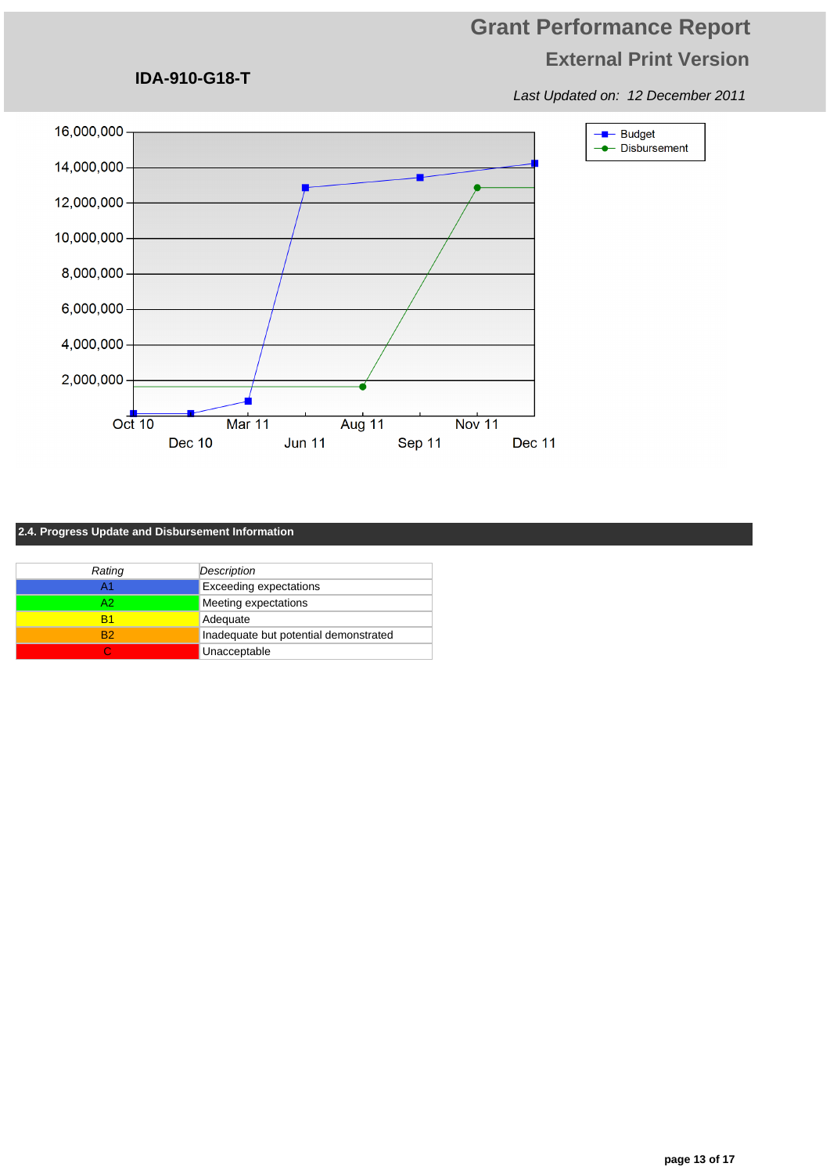Last Updated on: 12 December 2011



### **2.4. Progress Update and Disbursement Information**

**IDA-910-G18-T**

| Rating         | Description                           |
|----------------|---------------------------------------|
| A1             | <b>Exceeding expectations</b>         |
| A2             | Meeting expectations                  |
| R1             | Adequate                              |
| R <sub>2</sub> | Inadequate but potential demonstrated |
|                | Unacceptable                          |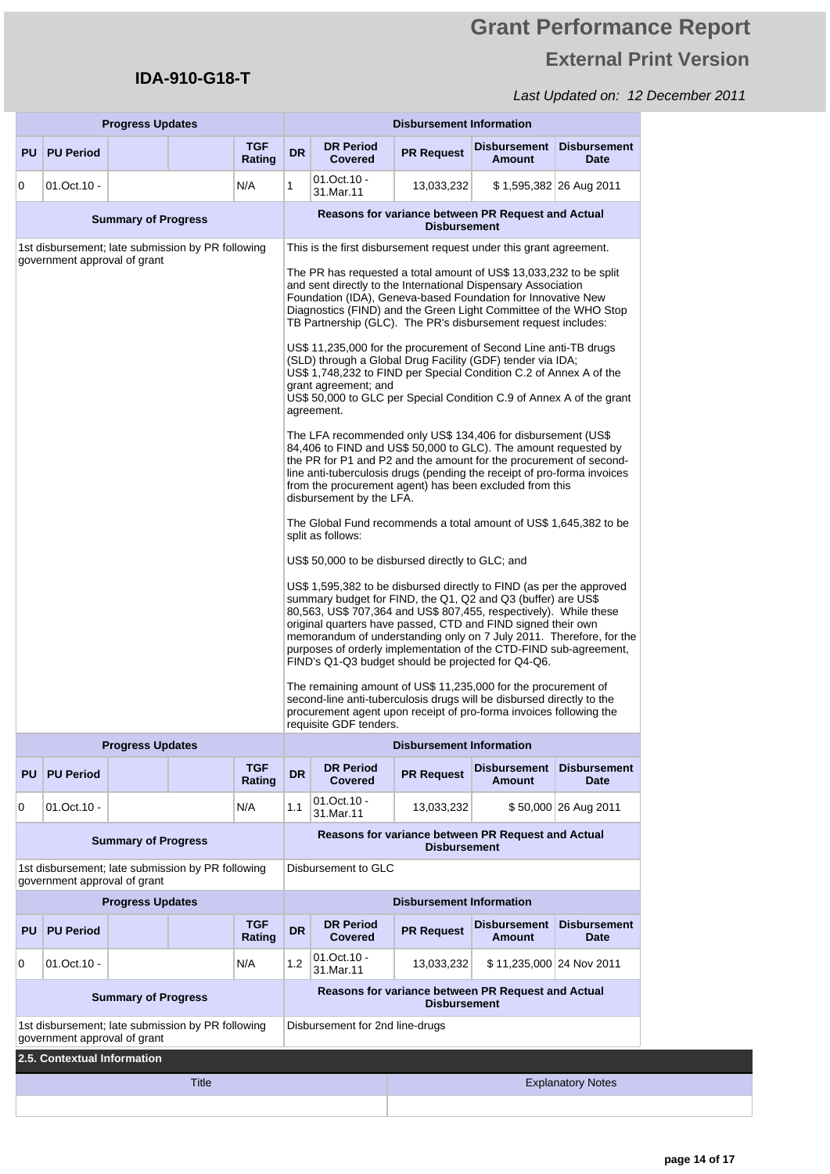# **Grant Performance Report External Print Version**

|                              | <b>Progress Updates</b>      |                            |                                                   |                                                                                                                                                                                                                                                                                                                                                                                                                                                                                                                                                                                                                                                                                                                        |                                                                                                                                                                                                                                                                                                                                                                         | <b>Disbursement Information</b>                                                        |                                 |                                                    |                                    |  |
|------------------------------|------------------------------|----------------------------|---------------------------------------------------|------------------------------------------------------------------------------------------------------------------------------------------------------------------------------------------------------------------------------------------------------------------------------------------------------------------------------------------------------------------------------------------------------------------------------------------------------------------------------------------------------------------------------------------------------------------------------------------------------------------------------------------------------------------------------------------------------------------------|-------------------------------------------------------------------------------------------------------------------------------------------------------------------------------------------------------------------------------------------------------------------------------------------------------------------------------------------------------------------------|----------------------------------------------------------------------------------------|---------------------------------|----------------------------------------------------|------------------------------------|--|
|                              | <b>PU PU Period</b>          |                            |                                                   | <b>TGF</b><br>Rating                                                                                                                                                                                                                                                                                                                                                                                                                                                                                                                                                                                                                                                                                                   | <b>DR</b>                                                                                                                                                                                                                                                                                                                                                               | <b>DR Period</b><br><b>Covered</b>                                                     | <b>PR Request</b>               | <b>Disbursement</b><br><b>Amount</b>               | <b>Disbursement</b><br>Date        |  |
| 0                            | 01.Oct.10 -                  |                            |                                                   | N/A                                                                                                                                                                                                                                                                                                                                                                                                                                                                                                                                                                                                                                                                                                                    | 1                                                                                                                                                                                                                                                                                                                                                                       | $01.0ct.10 -$<br>31.Mar.11                                                             | 13,033,232                      |                                                    | \$1,595,382 26 Aug 2011            |  |
| <b>Summary of Progress</b>   |                              |                            |                                                   | Reasons for variance between PR Request and Actual<br><b>Disbursement</b>                                                                                                                                                                                                                                                                                                                                                                                                                                                                                                                                                                                                                                              |                                                                                                                                                                                                                                                                                                                                                                         |                                                                                        |                                 |                                                    |                                    |  |
|                              |                              |                            | 1st disbursement; late submission by PR following |                                                                                                                                                                                                                                                                                                                                                                                                                                                                                                                                                                                                                                                                                                                        | This is the first disbursement request under this grant agreement.                                                                                                                                                                                                                                                                                                      |                                                                                        |                                 |                                                    |                                    |  |
| government approval of grant |                              |                            |                                                   | The PR has requested a total amount of US\$ 13,033,232 to be split<br>and sent directly to the International Dispensary Association<br>Foundation (IDA), Geneva-based Foundation for Innovative New<br>Diagnostics (FIND) and the Green Light Committee of the WHO Stop<br>TB Partnership (GLC). The PR's disbursement request includes:                                                                                                                                                                                                                                                                                                                                                                               |                                                                                                                                                                                                                                                                                                                                                                         |                                                                                        |                                 |                                                    |                                    |  |
|                              |                              |                            |                                                   |                                                                                                                                                                                                                                                                                                                                                                                                                                                                                                                                                                                                                                                                                                                        | US\$ 11,235,000 for the procurement of Second Line anti-TB drugs<br>(SLD) through a Global Drug Facility (GDF) tender via IDA;<br>US\$ 1,748,232 to FIND per Special Condition C.2 of Annex A of the<br>grant agreement; and<br>US\$ 50,000 to GLC per Special Condition C.9 of Annex A of the grant<br>agreement.                                                      |                                                                                        |                                 |                                                    |                                    |  |
|                              |                              |                            |                                                   |                                                                                                                                                                                                                                                                                                                                                                                                                                                                                                                                                                                                                                                                                                                        | The LFA recommended only US\$ 134,406 for disbursement (US\$<br>84,406 to FIND and US\$ 50,000 to GLC). The amount requested by<br>the PR for P1 and P2 and the amount for the procurement of second-<br>line anti-tuberculosis drugs (pending the receipt of pro-forma invoices<br>from the procurement agent) has been excluded from this<br>disbursement by the LFA. |                                                                                        |                                 |                                                    |                                    |  |
|                              |                              |                            |                                                   |                                                                                                                                                                                                                                                                                                                                                                                                                                                                                                                                                                                                                                                                                                                        |                                                                                                                                                                                                                                                                                                                                                                         | The Global Fund recommends a total amount of US\$ 1,645,382 to be<br>split as follows: |                                 |                                                    |                                    |  |
|                              |                              |                            |                                                   |                                                                                                                                                                                                                                                                                                                                                                                                                                                                                                                                                                                                                                                                                                                        |                                                                                                                                                                                                                                                                                                                                                                         | US\$ 50,000 to be disbursed directly to GLC; and                                       |                                 |                                                    |                                    |  |
|                              |                              |                            |                                                   | US\$ 1,595,382 to be disbursed directly to FIND (as per the approved<br>summary budget for FIND, the Q1, Q2 and Q3 (buffer) are US\$<br>80,563, US\$ 707,364 and US\$ 807,455, respectively). While these<br>original quarters have passed, CTD and FIND signed their own<br>memorandum of understanding only on 7 July 2011. Therefore, for the<br>purposes of orderly implementation of the CTD-FIND sub-agreement,<br>FIND's Q1-Q3 budget should be projected for Q4-Q6.<br>The remaining amount of US\$ 11,235,000 for the procurement of<br>second-line anti-tuberculosis drugs will be disbursed directly to the<br>procurement agent upon receipt of pro-forma invoices following the<br>requisite GDF tenders. |                                                                                                                                                                                                                                                                                                                                                                         |                                                                                        |                                 |                                                    |                                    |  |
|                              |                              |                            |                                                   |                                                                                                                                                                                                                                                                                                                                                                                                                                                                                                                                                                                                                                                                                                                        |                                                                                                                                                                                                                                                                                                                                                                         |                                                                                        |                                 |                                                    |                                    |  |
|                              |                              | <b>Progress Updates</b>    |                                                   |                                                                                                                                                                                                                                                                                                                                                                                                                                                                                                                                                                                                                                                                                                                        |                                                                                                                                                                                                                                                                                                                                                                         |                                                                                        | <b>Disbursement Information</b> |                                                    |                                    |  |
| <b>PU</b>                    | <b>PU Period</b>             |                            |                                                   | <b>TGF</b><br>Rating                                                                                                                                                                                                                                                                                                                                                                                                                                                                                                                                                                                                                                                                                                   | <b>DR</b>                                                                                                                                                                                                                                                                                                                                                               | <b>DR Period</b><br><b>Covered</b>                                                     | <b>PR Request</b>               | <b>Disbursement</b><br><b>Amount</b>               | <b>Disbursement</b><br><b>Date</b> |  |
| 0                            | $01.0ct.10 -$                |                            |                                                   | N/A                                                                                                                                                                                                                                                                                                                                                                                                                                                                                                                                                                                                                                                                                                                    | 1.1                                                                                                                                                                                                                                                                                                                                                                     | $01.0ct.10 -$<br>31.Mar.11                                                             | 13,033,232                      |                                                    | \$50,000 26 Aug 2011               |  |
|                              |                              | <b>Summary of Progress</b> |                                                   |                                                                                                                                                                                                                                                                                                                                                                                                                                                                                                                                                                                                                                                                                                                        |                                                                                                                                                                                                                                                                                                                                                                         |                                                                                        | <b>Disbursement</b>             | Reasons for variance between PR Request and Actual |                                    |  |
|                              | government approval of grant |                            | 1st disbursement; late submission by PR following |                                                                                                                                                                                                                                                                                                                                                                                                                                                                                                                                                                                                                                                                                                                        |                                                                                                                                                                                                                                                                                                                                                                         | Disbursement to GLC                                                                    |                                 |                                                    |                                    |  |
|                              |                              | <b>Progress Updates</b>    |                                                   |                                                                                                                                                                                                                                                                                                                                                                                                                                                                                                                                                                                                                                                                                                                        |                                                                                                                                                                                                                                                                                                                                                                         |                                                                                        | <b>Disbursement Information</b> |                                                    |                                    |  |
| <b>PU</b>                    | <b>PU Period</b>             |                            |                                                   | <b>TGF</b><br>Rating                                                                                                                                                                                                                                                                                                                                                                                                                                                                                                                                                                                                                                                                                                   | <b>DR</b>                                                                                                                                                                                                                                                                                                                                                               | <b>DR Period</b><br><b>Covered</b>                                                     | <b>PR Request</b>               | <b>Disbursement</b><br><b>Amount</b>               | <b>Disbursement</b><br>Date        |  |
| 0                            | $01.0ct.10 -$                |                            |                                                   | N/A                                                                                                                                                                                                                                                                                                                                                                                                                                                                                                                                                                                                                                                                                                                    | 1.2                                                                                                                                                                                                                                                                                                                                                                     | $01.0ct.10 -$<br>31.Mar.11                                                             | 13,033,232                      | \$11,235,000 24 Nov 2011                           |                                    |  |
|                              |                              | <b>Summary of Progress</b> |                                                   |                                                                                                                                                                                                                                                                                                                                                                                                                                                                                                                                                                                                                                                                                                                        |                                                                                                                                                                                                                                                                                                                                                                         |                                                                                        | <b>Disbursement</b>             | Reasons for variance between PR Request and Actual |                                    |  |
|                              | government approval of grant |                            | 1st disbursement; late submission by PR following |                                                                                                                                                                                                                                                                                                                                                                                                                                                                                                                                                                                                                                                                                                                        |                                                                                                                                                                                                                                                                                                                                                                         | Disbursement for 2nd line-drugs                                                        |                                 |                                                    |                                    |  |
|                              | 2.5. Contextual Information  |                            |                                                   |                                                                                                                                                                                                                                                                                                                                                                                                                                                                                                                                                                                                                                                                                                                        |                                                                                                                                                                                                                                                                                                                                                                         |                                                                                        |                                 |                                                    |                                    |  |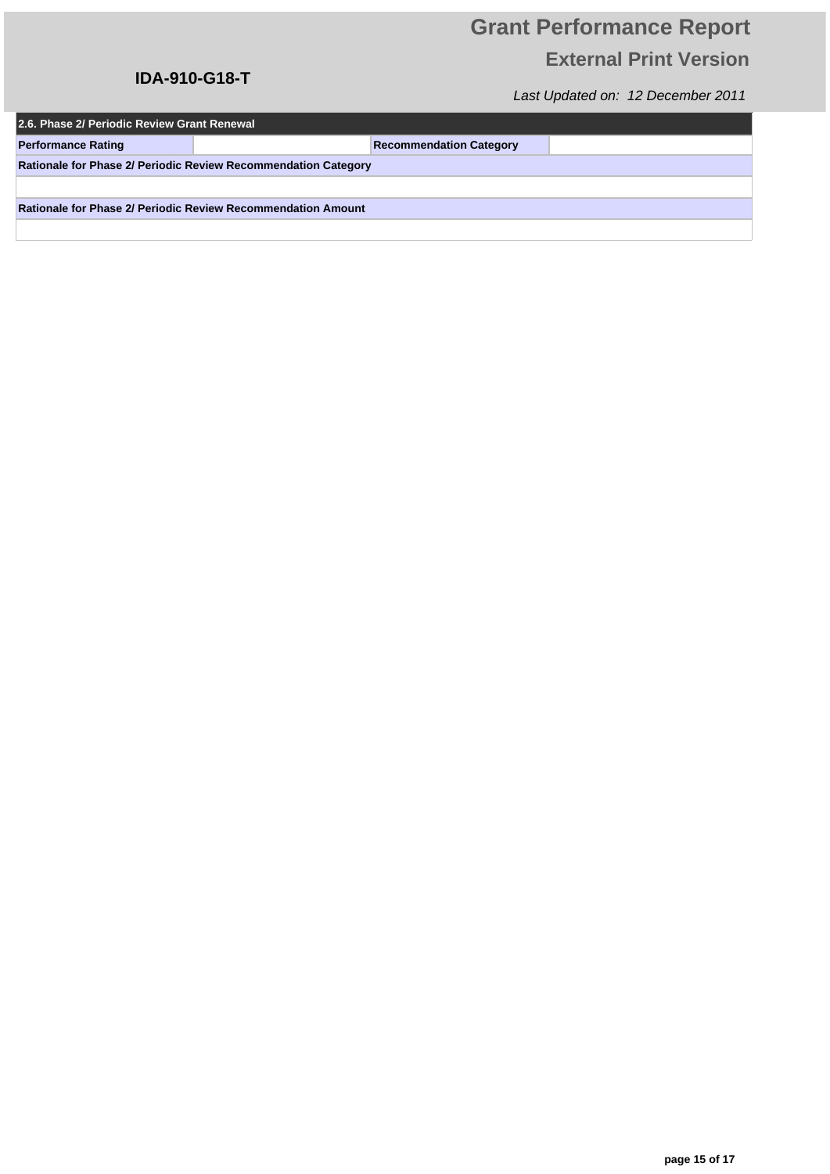## **IDA-910-G18-T**

| 2.6. Phase 2/ Periodic Review Grant Renewal                    |  |                                |  |  |  |  |  |
|----------------------------------------------------------------|--|--------------------------------|--|--|--|--|--|
| <b>Performance Rating</b>                                      |  | <b>Recommendation Category</b> |  |  |  |  |  |
| Rationale for Phase 2/ Periodic Review Recommendation Category |  |                                |  |  |  |  |  |
|                                                                |  |                                |  |  |  |  |  |
| Rationale for Phase 2/ Periodic Review Recommendation Amount   |  |                                |  |  |  |  |  |
|                                                                |  |                                |  |  |  |  |  |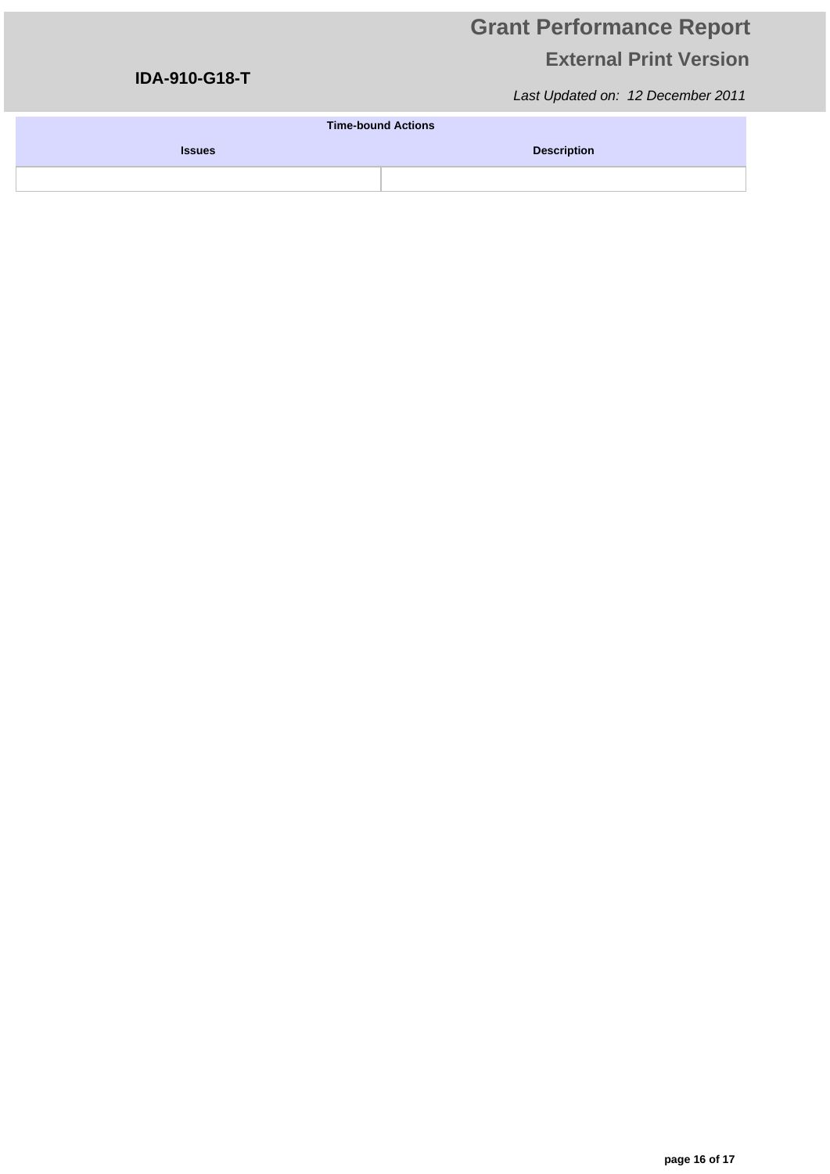## **IDA-910-G18-T**

| <b>Time-bound Actions</b> |                    |  |  |  |  |  |
|---------------------------|--------------------|--|--|--|--|--|
| <b>Issues</b>             | <b>Description</b> |  |  |  |  |  |
|                           |                    |  |  |  |  |  |